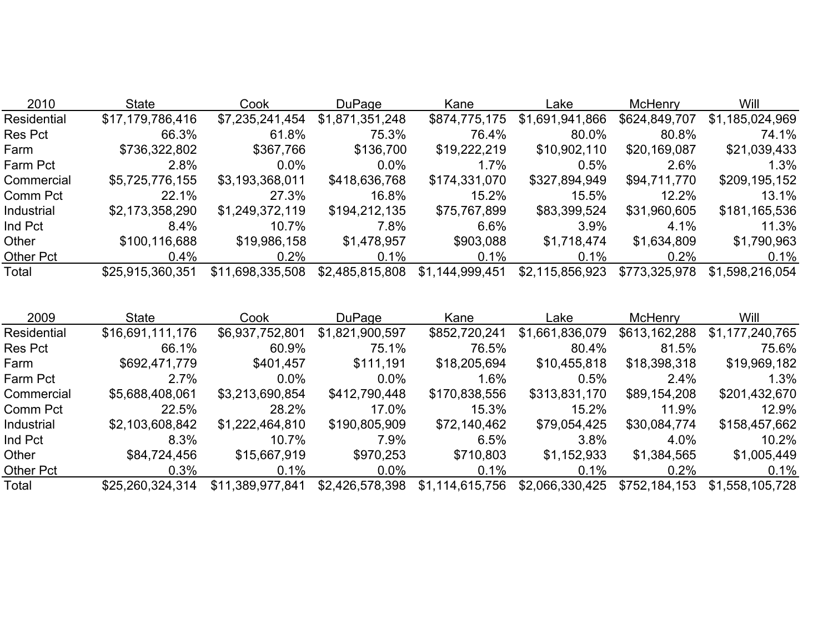| <b>State</b>     | Cook             | <b>DuPage</b>   | Kane            | Lakel           | <b>McHenry</b> | <b>Will</b>     |
|------------------|------------------|-----------------|-----------------|-----------------|----------------|-----------------|
| \$17,179,786,416 | \$7,235,241,454  | \$1,871,351,248 | \$874,775,175   | \$1,691,941,866 | \$624,849,707  | \$1,185,024,969 |
| 66.3%            | 61.8%            | 75.3%           | 76.4%           | 80.0%           | 80.8%          | 74.1%           |
| \$736,322,802    | \$367,766        | \$136,700       | \$19,222,219    | \$10,902,110    | \$20,169,087   | \$21,039,433    |
| 2.8%             | $0.0\%$          | $0.0\%$         | $1.7\%$         | 0.5%            | 2.6%           | 1.3%            |
| \$5,725,776,155  | \$3,193,368,011  | \$418,636,768   | \$174,331,070   | \$327,894,949   | \$94,711,770   | \$209,195,152   |
| 22.1%            | 27.3%            | 16.8%           | 15.2%           | 15.5%           | 12.2%          | 13.1%           |
| \$2,173,358,290  | \$1,249,372,119  | \$194,212,135   | \$75,767,899    | \$83,399,524    | \$31,960,605   | \$181,165,536   |
| 8.4%             | 10.7%            | 7.8%            | 6.6%            | $3.9\%$         | 4.1%           | 11.3%           |
| \$100,116,688    | \$19,986,158     | \$1,478,957     | \$903,088       | \$1,718,474     | \$1,634,809    | \$1,790,963     |
| $0.4\%$          | 0.2%             | 0.1%            | $0.1\%$         | $0.1\%$         | 0.2%           | 0.1%            |
| \$25,915,360,351 | \$11,698,335,508 | \$2,485,815,808 | \$1,144,999,451 | \$2,115,856,923 | \$773,325,978  | \$1,598,216,054 |
|                  |                  |                 |                 |                 |                |                 |

| 2009             | <b>State</b>     | Cook             | <b>DuPage</b>   | Kane            | Lake            | <b>McHenry</b> | Will            |
|------------------|------------------|------------------|-----------------|-----------------|-----------------|----------------|-----------------|
| Residential      | \$16,691,111,176 | \$6,937,752,801  | \$1,821,900,597 | \$852,720,241   | \$1,661,836,079 | \$613,162,288  | \$1,177,240,765 |
| <b>Res Pct</b>   | 66.1%            | 60.9%            | 75.1%           | 76.5%           | 80.4%           | 81.5%          | 75.6%           |
| Farm             | \$692,471,779    | \$401,457        | \$111,191       | \$18,205,694    | \$10,455,818    | \$18,398,318   | \$19,969,182    |
| Farm Pct         | 2.7%             | $0.0\%$          | $0.0\%$         | $1.6\%$         | 0.5%            | 2.4%           | 1.3%            |
| Commercial       | \$5,688,408,061  | \$3,213,690,854  | \$412,790,448   | \$170,838,556   | \$313,831,170   | \$89,154,208   | \$201,432,670   |
| Comm Pct         | 22.5%            | 28.2%            | 17.0%           | 15.3%           | 15.2%           | 11.9%          | 12.9%           |
| Industrial       | \$2,103,608,842  | \$1,222,464,810  | \$190,805,909   | \$72,140,462    | \$79,054,425    | \$30,084,774   | \$158,457,662   |
| Ind Pct          | 8.3%             | 10.7%            | 7.9%            | 6.5%            | 3.8%            | 4.0%           | 10.2%           |
| Other            | \$84,724,456     | \$15,667,919     | \$970,253       | \$710,803       | \$1,152,933     | \$1,384,565    | \$1,005,449     |
| <b>Other Pct</b> | 0.3%             | $0.1\%$          | $0.0\%$         | 0.1%            | 0.1%            | 0.2%           | 0.1%            |
| Total            | \$25.260.324.314 | \$11,389,977,841 | \$2,426,578,398 | \$1,114,615,756 | \$2,066,330,425 | \$752,184,153  | \$1,558,105,728 |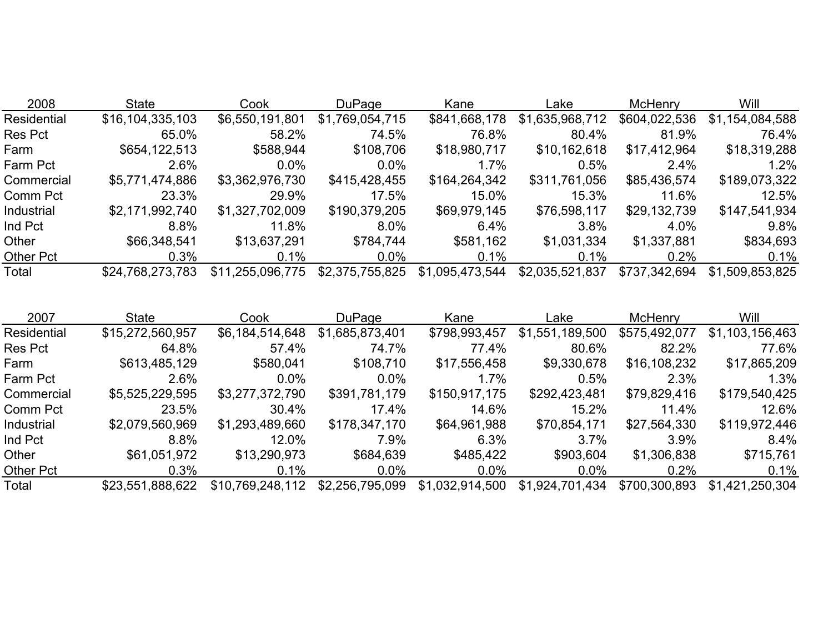| 2008        | <b>State</b>     | Cook             | <b>DuPage</b>   | Kane            | Lake            | <b>McHenry</b> | Will            |
|-------------|------------------|------------------|-----------------|-----------------|-----------------|----------------|-----------------|
| Residential | \$16,104,335,103 | \$6,550,191,801  | \$1,769,054,715 | \$841,668,178   | \$1,635,968,712 | \$604,022,536  | \$1,154,084,588 |
| Res Pct     | 65.0%            | 58.2%            | 74.5%           | 76.8%           | 80.4%           | 81.9%          | 76.4%           |
| Farm        | \$654,122,513    | \$588,944        | \$108,706       | \$18,980,717    | \$10,162,618    | \$17,412,964   | \$18,319,288    |
| Farm Pct    | 2.6%             | $0.0\%$          | $0.0\%$         | 1.7%            | 0.5%            | 2.4%           | $1.2\%$         |
| Commercial  | \$5,771,474,886  | \$3,362,976,730  | \$415,428,455   | \$164,264,342   | \$311,761,056   | \$85,436,574   | \$189,073,322   |
| Comm Pct    | 23.3%            | 29.9%            | 17.5%           | 15.0%           | 15.3%           | 11.6%          | 12.5%           |
| Industrial  | \$2,171,992,740  | \$1,327,702,009  | \$190,379,205   | \$69,979,145    | \$76,598,117    | \$29,132,739   | \$147,541,934   |
| Ind Pct     | 8.8%             | 11.8%            | 8.0%            | 6.4%            | 3.8%            | 4.0%           | 9.8%            |
| Other       | \$66,348,541     | \$13,637,291     | \$784,744       | \$581,162       | \$1,031,334     | \$1,337,881    | \$834,693       |
| Other Pct   | 0.3%             | 0.1%             | $0.0\%$         | 0.1%            | $0.1\%$         | 0.2%           | $0.1\%$         |
| Total       | \$24,768,273,783 | \$11,255,096,775 | \$2,375,755,825 | \$1,095,473,544 | \$2,035,521,837 | \$737,342,694  | \$1,509,853,825 |

| 2007             | <b>State</b>     | Cook             | <b>DuPage</b>   | Kane            | Lake            | <b>McHenry</b> | Will            |
|------------------|------------------|------------------|-----------------|-----------------|-----------------|----------------|-----------------|
| Residential      | \$15,272,560,957 | \$6,184,514,648  | \$1,685,873,401 | \$798,993,457   | \$1,551,189,500 | \$575,492,077  | \$1,103,156,463 |
| <b>Res Pct</b>   | 64.8%            | 57.4%            | 74.7%           | 77.4%           | 80.6%           | 82.2%          | 77.6%           |
| Farm             | \$613,485,129    | \$580,041        | \$108,710       | \$17,556,458    | \$9,330,678     | \$16,108,232   | \$17,865,209    |
| Farm Pct         | 2.6%             | $0.0\%$          | $0.0\%$         | 1.7%            | 0.5%            | 2.3%           | 1.3%            |
| Commercial       | \$5,525,229,595  | \$3,277,372,790  | \$391,781,179   | \$150,917,175   | \$292,423,481   | \$79,829,416   | \$179,540,425   |
| Comm Pct         | 23.5%            | 30.4%            | 17.4%           | 14.6%           | 15.2%           | 11.4%          | 12.6%           |
| Industrial       | \$2,079,560,969  | \$1,293,489,660  | \$178,347,170   | \$64,961,988    | \$70,854,171    | \$27,564,330   | \$119,972,446   |
| Ind Pct          | 8.8%             | 12.0%            | 7.9%            | 6.3%            | $3.7\%$         | 3.9%           | 8.4%            |
| Other            | \$61,051,972     | \$13,290,973     | \$684,639       | \$485,422       | \$903,604       | \$1,306,838    | \$715,761       |
| <b>Other Pct</b> | 0.3%             | $0.1\%$          | $0.0\%$         | $0.0\%$         | $0.0\%$         | 0.2%           | 0.1%            |
| Total            | \$23,551,888,622 | \$10,769,248,112 | \$2,256,795,099 | \$1,032,914,500 | \$1,924,701,434 | \$700,300,893  | \$1,421,250,304 |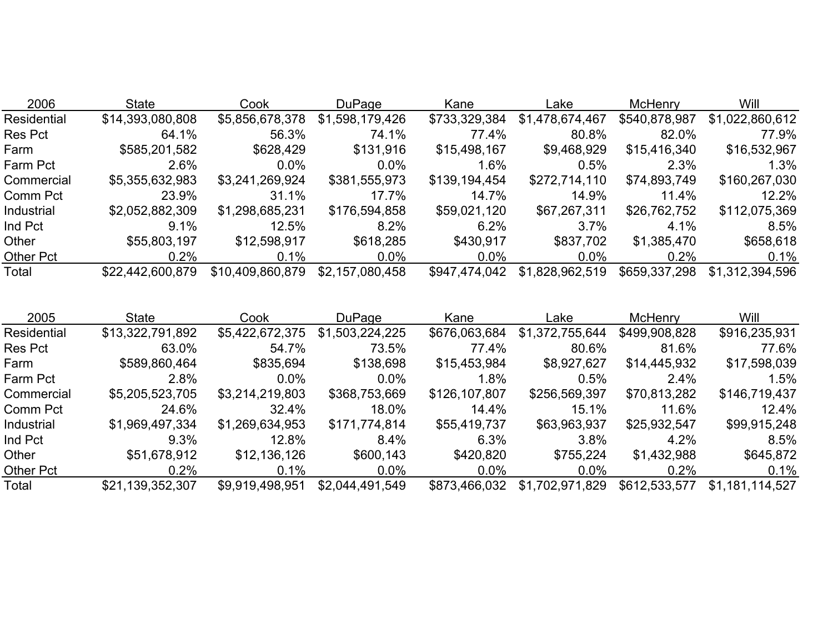| 2006             | <b>State</b>     | Cook             | <b>DuPage</b>   | Kane          | Lake            | McHenry       | Will            |
|------------------|------------------|------------------|-----------------|---------------|-----------------|---------------|-----------------|
| Residential      | \$14,393,080,808 | \$5,856,678,378  | \$1,598,179,426 | \$733,329,384 | \$1,478,674,467 | \$540,878,987 | \$1,022,860,612 |
| <b>Res Pct</b>   | 64.1%            | 56.3%            | 74.1%           | 77.4%         | 80.8%           | 82.0%         | 77.9%           |
| Farm             | \$585,201,582    | \$628,429        | \$131,916       | \$15,498,167  | \$9,468,929     | \$15,416,340  | \$16,532,967    |
| Farm Pct         | 2.6%             | $0.0\%$          | $0.0\%$         | $1.6\%$       | 0.5%            | 2.3%          | 1.3%            |
| Commercial       | \$5,355,632,983  | \$3,241,269,924  | \$381,555,973   | \$139,194,454 | \$272,714,110   | \$74,893,749  | \$160,267,030   |
| Comm Pct         | 23.9%            | 31.1%            | 17.7%           | 14.7%         | 14.9%           | 11.4%         | 12.2%           |
| Industrial       | \$2,052,882,309  | \$1,298,685,231  | \$176,594,858   | \$59,021,120  | \$67,267,311    | \$26,762,752  | \$112,075,369   |
| Ind Pct          | 9.1%             | 12.5%            | 8.2%            | 6.2%          | 3.7%            | 4.1%          | 8.5%            |
| Other            | \$55,803,197     | \$12,598,917     | \$618,285       | \$430,917     | \$837,702       | \$1,385,470   | \$658,618       |
| <b>Other Pct</b> | 0.2%             | 0.1%             | $0.0\%$         | $0.0\%$       | $0.0\%$         | 0.2%          | 0.1%            |
| Total            | \$22,442,600,879 | \$10,409,860,879 | \$2,157,080,458 | \$947,474,042 | \$1,828,962,519 | \$659,337,298 | \$1,312,394,596 |

| 2005               | <b>State</b>     | Cook            | DuPage          | Kane          | Lake            | <b>McHenry</b> | Will            |
|--------------------|------------------|-----------------|-----------------|---------------|-----------------|----------------|-----------------|
| <b>Residential</b> | \$13,322,791,892 | \$5,422,672,375 | \$1,503,224,225 | \$676,063,684 | \$1,372,755,644 | \$499,908,828  | \$916,235,931   |
| Res Pct            | 63.0%            | 54.7%           | 73.5%           | 77.4%         | 80.6%           | 81.6%          | 77.6%           |
| Farm               | \$589,860,464    | \$835,694       | \$138,698       | \$15,453,984  | \$8,927,627     | \$14,445,932   | \$17,598,039    |
| Farm Pct           | 2.8%             | $0.0\%$         | $0.0\%$         | $1.8\%$       | 0.5%            | $2.4\%$        | .5%             |
| Commercial         | \$5,205,523,705  | \$3,214,219,803 | \$368,753,669   | \$126,107,807 | \$256,569,397   | \$70,813,282   | \$146,719,437   |
| Comm Pct           | 24.6%            | 32.4%           | 18.0%           | 14.4%         | 15.1%           | 11.6%          | $12.4\%$        |
| Industrial         | \$1,969,497,334  | \$1,269,634,953 | \$171,774,814   | \$55,419,737  | \$63,963,937    | \$25,932,547   | \$99,915,248    |
| Ind Pct            | 9.3%             | 12.8%           | 8.4%            | 6.3%          | 3.8%            | 4.2%           | 8.5%            |
| Other              | \$51,678,912     | \$12,136,126    | \$600,143       | \$420,820     | \$755,224       | \$1,432,988    | \$645,872       |
| <b>Other Pct</b>   | 0.2%             | 0.1%            | $0.0\%$         | $0.0\%$       | $0.0\%$         | 0.2%           | 0.1%            |
| Total              | \$21,139,352,307 | \$9,919,498,951 | \$2,044,491,549 | \$873,466,032 | \$1,702,971,829 | \$612,533,577  | \$1,181,114,527 |
|                    |                  |                 |                 |               |                 |                |                 |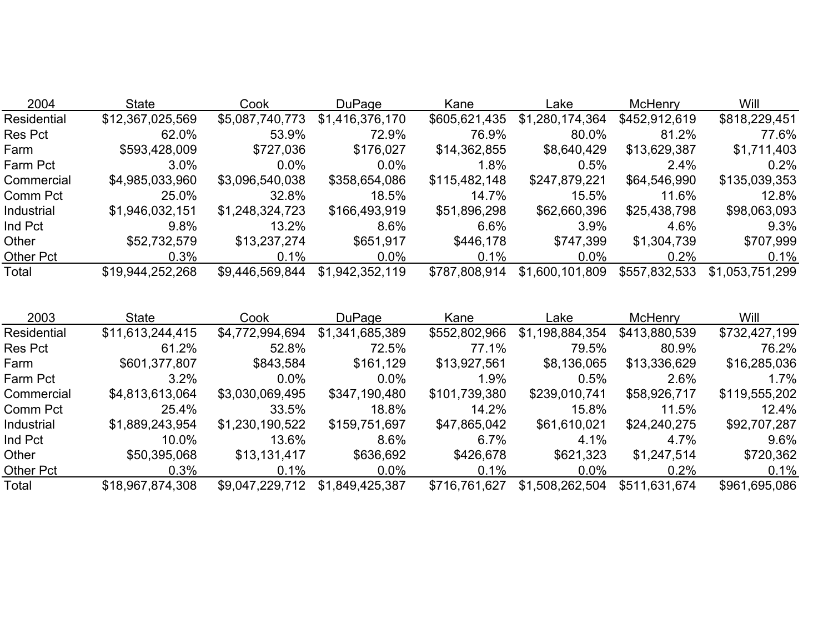| 2004             | <b>State</b>     | Cook            | <b>DuPage</b>   | Kane          | Lake            | <b>McHenry</b> | Will            |
|------------------|------------------|-----------------|-----------------|---------------|-----------------|----------------|-----------------|
| Residential      | \$12,367,025,569 | \$5,087,740,773 | \$1,416,376,170 | \$605,621,435 | \$1,280,174,364 | \$452,912,619  | \$818,229,451   |
| <b>Res Pct</b>   | 62.0%            | 53.9%           | 72.9%           | 76.9%         | 80.0%           | 81.2%          | 77.6%           |
| Farm             | \$593,428,009    | \$727,036       | \$176,027       | \$14,362,855  | \$8,640,429     | \$13,629,387   | \$1,711,403     |
| Farm Pct         | $3.0\%$          | $0.0\%$         | $0.0\%$         | 1.8%          | 0.5%            | $2.4\%$        | 0.2%            |
| Commercial       | \$4,985,033,960  | \$3,096,540,038 | \$358,654,086   | \$115,482,148 | \$247,879,221   | \$64,546,990   | \$135,039,353   |
| Comm Pct         | 25.0%            | 32.8%           | 18.5%           | 14.7%         | 15.5%           | 11.6%          | 12.8%           |
| Industrial       | \$1,946,032,151  | \$1,248,324,723 | \$166,493,919   | \$51,896,298  | \$62,660,396    | \$25,438,798   | \$98,063,093    |
| Ind Pct          | $9.8\%$          | 13.2%           | 8.6%            | $6.6\%$       | $3.9\%$         | 4.6%           | $9.3\%$         |
| Other            | \$52,732,579     | \$13,237,274    | \$651,917       | \$446,178     | \$747,399       | \$1,304,739    | \$707,999       |
| <b>Other Pct</b> | 0.3%             | 0.1%            | $0.0\%$         | $0.1\%$       | $0.0\%$         | 0.2%           | 0.1%            |
| Total            | \$19,944,252,268 | \$9,446,569,844 | \$1,942,352,119 | \$787,808,914 | \$1,600,101,809 | \$557,832,533  | \$1,053,751,299 |

| 2003             | <b>State</b>     | Cook            | DuPage          | Kane          | Lake            | <b>McHenry</b> | Will          |
|------------------|------------------|-----------------|-----------------|---------------|-----------------|----------------|---------------|
| Residential      | \$11,613,244,415 | \$4,772,994,694 | \$1,341,685,389 | \$552,802,966 | \$1,198,884,354 | \$413,880,539  | \$732,427,199 |
| <b>Res Pct</b>   | 61.2%            | 52.8%           | 72.5%           | 77.1%         | 79.5%           | 80.9%          | 76.2%         |
| Farm             | \$601,377,807    | \$843,584       | \$161,129       | \$13,927,561  | \$8,136,065     | \$13,336,629   | \$16,285,036  |
| Farm Pct         | 3.2%             | $0.0\%$         | $0.0\%$         | 1.9%          | 0.5%            | 2.6%           | $1.7\%$       |
| Commercial       | \$4,813,613,064  | \$3,030,069,495 | \$347,190,480   | \$101,739,380 | \$239,010,741   | \$58,926,717   | \$119,555,202 |
| Comm Pct         | 25.4%            | 33.5%           | 18.8%           | 14.2%         | 15.8%           | 11.5%          | 12.4%         |
| Industrial       | \$1,889,243,954  | \$1,230,190,522 | \$159,751,697   | \$47,865,042  | \$61,610,021    | \$24,240,275   | \$92,707,287  |
| Ind Pct          | 10.0%            | 13.6%           | 8.6%            | 6.7%          | 4.1%            | 4.7%           | 9.6%          |
| Other            | \$50,395,068     | \$13,131,417    | \$636,692       | \$426,678     | \$621,323       | \$1,247,514    | \$720,362     |
| <b>Other Pct</b> | 0.3%             | $0.1\%$         | $0.0\%$         | 0.1%          | $0.0\%$         | 0.2%           | 0.1%          |
| Total            | \$18,967,874,308 | \$9,047,229,712 | \$1,849,425,387 | \$716,761,627 | \$1,508,262,504 | \$511,631,674  | \$961,695,086 |